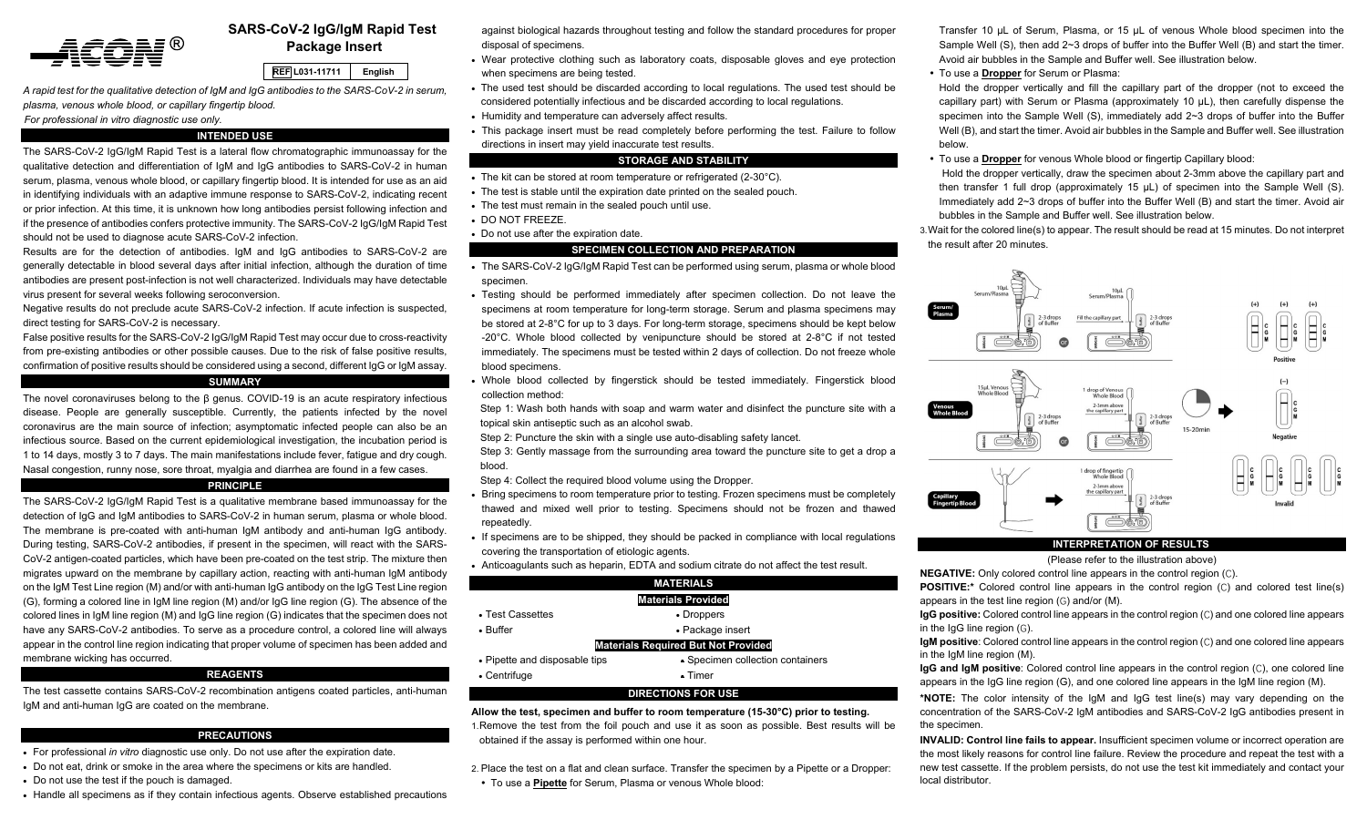

# **SARS-CoV-2 IgG/IgM Rapid Test Package Insert**

#### **REF L031-11711English**

*A rapid test for the qualitative detection of IgM and IgG antibodies to the SARS-CoV-2 in serum, plasma, venous whole blood, or capillary fingertip blood.* 

*For professional in vitro diagnostic use only.* 

## **INTENDED USE**

The SARS-CoV-2 IgG/IgM Rapid Test is a lateral flow chromatographic immunoassay for the qualitative detection and differentiation of IgM and IgG antibodies to SARS-CoV-2 in human serum, plasma, venous whole blood, or capillary fingertip blood. It is intended for use as an aid in identifying individuals with an adaptive immune response to SARS-CoV-2, indicating recent or prior infection. At this time, it is unknown how long antibodies persist following infection and if the presence of antibodies confers protective immunity. The SARS-CoV-2 IgG/IgM Rapid Test should not be used to diagnose acute SARS-CoV-2 infection.

Results are for the detection of antibodies. IgM and IgG antibodies to SARS-CoV-2 are generally detectable in blood several days after initial infection, although the duration of time antibodies are present post-infection is not well characterized. Individuals may have detectable virus present for several weeks following seroconversion.

Negative results do not preclude acute SARS-CoV-2 infection. If acute infection is suspected, direct testing for SARS-CoV-2 is necessary.

False positive results for the SARS-CoV-2 IgG/IgM Rapid Test may occur due to cross-reactivity from pre-existing antibodies or other possible causes. Due to the risk of false positive results, confirmation of positive results should be considered using a second, different IgG or IgM assay.

## **SUMMARY**

The novel coronaviruses belong to the β genus. COVID-19 is an acute respiratory infectious disease. People are generally susceptible. Currently, the patients infected by the novel coronavirus are the main source of infection; asymptomatic infected people can also be an infectious source. Based on the current epidemiological investigation, the incubation period is 1 to 14 days, mostly 3 to 7 days. The main manifestations include fever, fatigue and dry cough. Nasal congestion, runny nose, sore throat, myalgia and diarrhea are found in a few cases.

### **PRINCIPLE**

The SARS-CoV-2 IgG/IgM Rapid Test is a qualitative membrane based immunoassay for the detection of IgG and IgM antibodies to SARS-CoV-2 in human serum, plasma or whole blood. The membrane is pre-coated with anti-human IgM antibody and anti-human IgG antibody. During testing, SARS-CoV-2 antibodies, if present in the specimen, will react with the SARS-CoV-2 antigen-coated particles, which have been pre-coated on the test strip. The mixture then migrates upward on the membrane by capillary action, reacting with anti-human IgM antibody on the IgM Test Line region (M) and/or with anti-human IgG antibody on the IgG Test Line region (G), forming a colored line in IgM line region (M) and/or IgG line region (G). The absence of the colored lines in IgM line region (M) and IgG line region (G) indicates that the specimen does not have any SARS-CoV-2 antibodies. To serve as a procedure control, a colored line will always appear in the control line region indicating that proper volume of specimen has been added and membrane wicking has occurred.

### **REAGENTS**

The test cassette contains SARS-CoV-2 recombination antigens coated particles, anti-human IgM and anti-human IgG are coated on the membrane.

#### **PRECAUTIONS**

- For professional *in vitro* diagnostic use only. Do not use after the expiration date.
- Do not eat, drink or smoke in the area where the specimens or kits are handled.
- Do not use the test if the pouch is damaged.
- Handle all specimens as if they contain infectious agents. Observe established precautions

against biological hazards throughout testing and follow the standard procedures for proper disposal of specimens.

- Wear protective clothing such as laboratory coats, disposable gloves and eye protection when specimens are being tested.
- The used test should be discarded according to local regulations. The used test should be considered potentially infectious and be discarded according to local regulations.
- Humidity and temperature can adversely affect results.
- This package insert must be read completely before performing the test. Failure to follow directions in insert may yield inaccurate test results.

# **STORAGE AND STABILITY**

- The kit can be stored at room temperature or refrigerated (2-30°C).
- The test is stable until the expiration date printed on the sealed pouch.
- The test must remain in the sealed pouch until use.
- DO NOT FREEZE.
- Do not use after the expiration date.

# **SPECIMEN COLLECTION AND PREPARATION**

- The SARS-CoV-2 IgG/IgM Rapid Test can be performed using serum, plasma or whole blood specimen.
- Testing should be performed immediately after specimen collection. Do not leave the specimens at room temperature for long-term storage. Serum and plasma specimens may be stored at 2-8°C for up to 3 days. For long-term storage, specimens should be kept below -20 $^{\circ}$ C. Whole blood collected by venipuncture should be stored at 2-8 $^{\circ}$ C if not tested immediately. The specimens must be tested within 2 days of collection. Do not freeze whole blood specimens.
- Whole blood collected by fingerstick should be tested immediately. Fingerstick blood collection method:

Step 1: Wash both hands with soap and warm water and disinfect the puncture site with a topical skin antiseptic such as an alcohol swab.

Step 2: Puncture the skin with a single use auto-disabling safety lancet.

Step 3: Gently massage from the surrounding area toward the puncture site to get a drop a blood.

Step 4: Collect the required blood volume using the Dropper.

- Bring specimens to room temperature prior to testing. Frozen specimens must be completely thawed and mixed well prior to testing. Specimens should not be frozen and thawed repeatedly.
- If specimens are to be shipped, they should be packed in compliance with local regulations covering the transportation of etiologic agents.
- Anticoagulants such as heparin, EDTA and sodium citrate do not affect the test result.

|                               | <b>MATERIALS</b>                           |  |  |  |  |
|-------------------------------|--------------------------------------------|--|--|--|--|
| <b>Materials Provided</b>     |                                            |  |  |  |  |
| • Test Cassettes              | • Droppers                                 |  |  |  |  |
| $\bullet$ Buffer              | • Package insert                           |  |  |  |  |
|                               | <b>Materials Required But Not Provided</b> |  |  |  |  |
| • Pipette and disposable tips | • Specimen collection containers           |  |  |  |  |
| • Centrifuge                  | $\bullet$ Timer                            |  |  |  |  |
|                               | DIRECTIONS FOR USE                         |  |  |  |  |

**Allow the test, specimen and buffer to room temperature (15-30°C) prior to testing.**  1. Remove the test from the foil pouch and use it as soon as possible. Best results will be obtained if the assay is performed within one hour.

2. Place the test on a flat and clean surface. Transfer the specimen by a Pipette or a Dropper: To use a **Pipette** for Serum, Plasma or venous Whole blood:

Transfer 10 μL of Serum, Plasma, or 15 μL of venous Whole blood specimen into the Sample Well (S), then add 2~3 drops of buffer into the Buffer Well (B) and start the timer. Avoid air bubbles in the Sample and Buffer well. See illustration below.

To use a **Dropper** for Serum or Plasma:

Hold the dropper vertically and fill the capillary part of the dropper (not to exceed the capillary part) with Serum or Plasma (approximately 10 μL), then carefully dispense the specimen into the Sample Well (S), immediately add 2~3 drops of buffer into the Buffer Well (B), and start the timer. Avoid air bubbles in the Sample and Buffer well. See illustration below.

 To use a **Dropper** for venous Whole blood or fingertip Capillary blood: Hold the dropper vertically, draw the specimen about 2-3mm above the capillary part and then transfer 1 full drop (approximately 15  $\mu$ L) of specimen into the Sample Well (S). Immediately add 2~3 drops of buffer into the Buffer Well (B) and start the timer. Avoid air bubbles in the Sample and Buffer well. See illustration below.

3. Wait for the colored line(s) to appear. The result should be read at 15 minutes. Do not interpret the result after 20 minutes.



## **INTERPRETATION OF RESULTS**

### (Please refer to the illustration above)

**NEGATIVE:** Only colored control line appears in the control region (C).

**POSITIVE:\*** Colored control line appears in the control region (C) and colored test line(s) appears in the test line region (G) and/or (M).

**IgG positive:** Colored control line appears in the control region (C) and one colored line appears in the  $I$ gG line region  $(G)$ .

**IgM positive**: Colored control line appears in the control region (C) and one colored line appears in the IgM line region (M).

**IgG and IgM positive**: Colored control line appears in the control region (C), one colored line appears in the IgG line region (G), and one colored line appears in the IgM line region (M).

**\*NOTE:** The color intensity of the IgM and IgG test line(s) may vary depending on the concentration of the SARS-CoV-2 IgM antibodies and SARS-CoV-2 IgG antibodies present in the specimen.

**INVALID: Control line fails to appear.** Insufficient specimen volume or incorrect operation are the most likely reasons for control line failure. Review the procedure and repeat the test with a new test cassette. If the problem persists, do not use the test kit immediately and contact your local distributor.